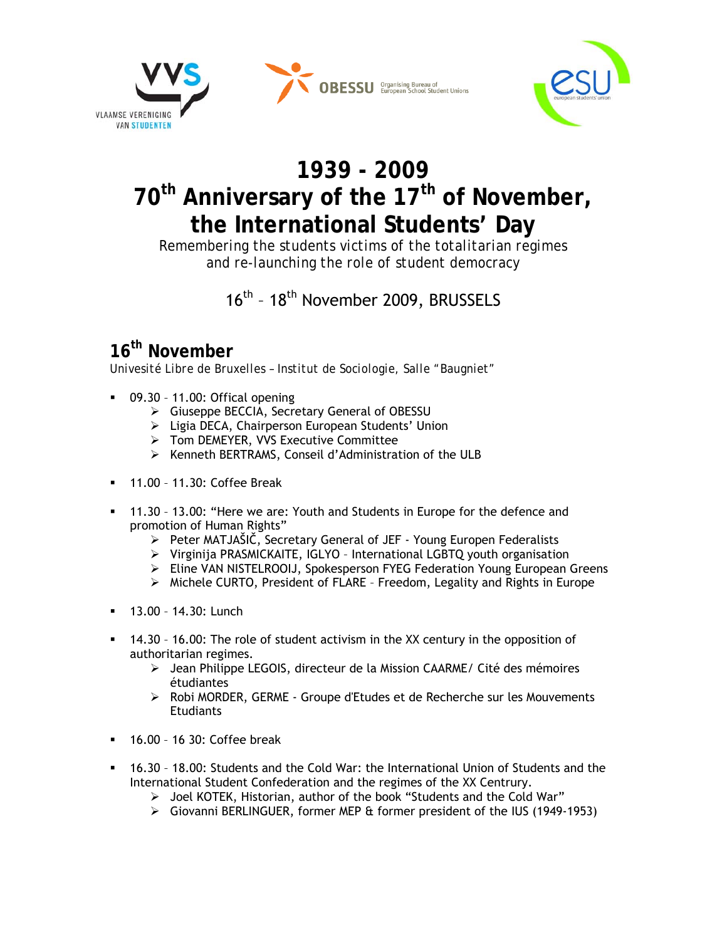



# **1939 - 2009**  70<sup>th</sup> Anniversary of the 17<sup>th</sup> of November, **the International Students' Day**

*Remembering the students victims of the totalitarian regimes and re-launching the role of student democracy* 

### 16<sup>th</sup> - 18<sup>th</sup> November 2009, BRUSSELS

#### **16th November**

*Univesité Libre de Bruxelles – Institut de Sociologie, Salle "Baugniet"* 

- 09.30 11.00: Offical opening
	- ¾ Giuseppe BECCIA, Secretary General of OBESSU
	- ¾ Ligia DECA, Chairperson European Students' Union
	- ¾ Tom DEMEYER, VVS Executive Committee
	- ¾ Kenneth BERTRAMS, Conseil d'Administration of the ULB
- **11.00 11.30: Coffee Break**
- 11.30 13.00: "Here we are: Youth and Students in Europe for the defence and promotion of Human Rights"
	- ¾ Peter MATJAŠIČ, Secretary General of JEF Young Europen Federalists
	- ¾ Virginija PRASMICKAITE, IGLYO International LGBTQ youth organisation
	- ¾ Eline VAN NISTELROOIJ, Spokesperson FYEG Federation Young European Greens
	- $\triangleright$  Michele CURTO, President of FLARE Freedom, Legality and Rights in Europe
- **13.00 14.30: Lunch**
- 14.30 16.00: The role of student activism in the XX century in the opposition of authoritarian regimes.
	- ¾ Jean Philippe LEGOIS, directeur de la Mission CAARME/ Cité des mémoires étudiantes
	- ¾ Robi MORDER, GERME Groupe d'Etudes et de Recherche sur les Mouvements **Etudiants**
- 16.00 16 30: Coffee break
- 16.30 18.00: Students and the Cold War: the International Union of Students and the International Student Confederation and the regimes of the XX Centrury.
	- ¾ Joel KOTEK, Historian, author of the book "Students and the Cold War"
	- ¾ Giovanni BERLINGUER, former MEP & former president of the IUS (1949-1953)